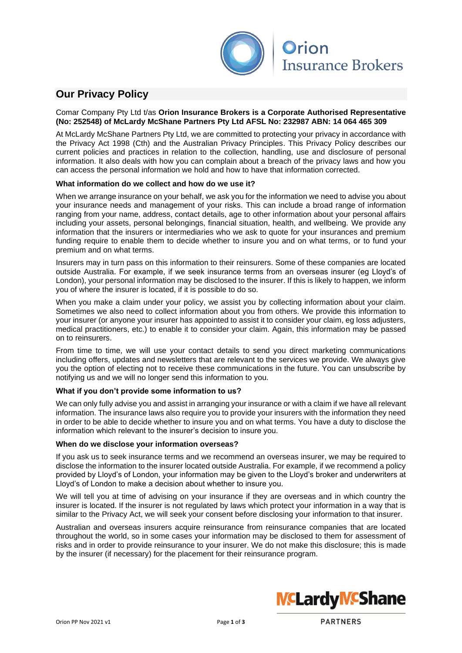

## **Our Privacy Policy**

Comar Company Pty Ltd t/as **Orion Insurance Brokers is a Corporate Authorised Representative (No: 252548) of McLardy McShane Partners Pty Ltd AFSL No: 232987 ABN: 14 064 465 309**

At McLardy McShane Partners Pty Ltd, we are committed to protecting your privacy in accordance with the Privacy Act 1998 (Cth) and the Australian Privacy Principles. This Privacy Policy describes our current policies and practices in relation to the collection, handling, use and disclosure of personal information. It also deals with how you can complain about a breach of the privacy laws and how you can access the personal information we hold and how to have that information corrected.

### **What information do we collect and how do we use it?**

When we arrange insurance on your behalf, we ask you for the information we need to advise you about your insurance needs and management of your risks. This can include a broad range of information ranging from your name, address, contact details, age to other information about your personal affairs including your assets, personal belongings, financial situation, health, and wellbeing. We provide any information that the insurers or intermediaries who we ask to quote for your insurances and premium funding require to enable them to decide whether to insure you and on what terms, or to fund your premium and on what terms.

Insurers may in turn pass on this information to their reinsurers. Some of these companies are located outside Australia. For example, if we seek insurance terms from an overseas insurer (eg Lloyd's of London), your personal information may be disclosed to the insurer. If this is likely to happen, we inform you of where the insurer is located, if it is possible to do so.

When you make a claim under your policy, we assist you by collecting information about your claim. Sometimes we also need to collect information about you from others. We provide this information to your insurer (or anyone your insurer has appointed to assist it to consider your claim, eg loss adjusters, medical practitioners, etc.) to enable it to consider your claim. Again, this information may be passed on to reinsurers.

From time to time, we will use your contact details to send you direct marketing communications including offers, updates and newsletters that are relevant to the services we provide. We always give you the option of electing not to receive these communications in the future. You can unsubscribe by notifying us and we will no longer send this information to you.

#### **What if you don't provide some information to us?**

We can only fully advise you and assist in arranging your insurance or with a claim if we have all relevant information. The insurance laws also require you to provide your insurers with the information they need in order to be able to decide whether to insure you and on what terms. You have a duty to disclose the information which relevant to the insurer's decision to insure you.

#### **When do we disclose your information overseas?**

If you ask us to seek insurance terms and we recommend an overseas insurer, we may be required to disclose the information to the insurer located outside Australia. For example, if we recommend a policy provided by Lloyd's of London, your information may be given to the Lloyd's broker and underwriters at Lloyd's of London to make a decision about whether to insure you.

We will tell you at time of advising on your insurance if they are overseas and in which country the insurer is located. If the insurer is not regulated by laws which protect your information in a way that is similar to the Privacy Act, we will seek your consent before disclosing your information to that insurer.

Australian and overseas insurers acquire reinsurance from reinsurance companies that are located throughout the world, so in some cases your information may be disclosed to them for assessment of risks and in order to provide reinsurance to your insurer. We do not make this disclosure; this is made by the insurer (if necessary) for the placement for their reinsurance program.

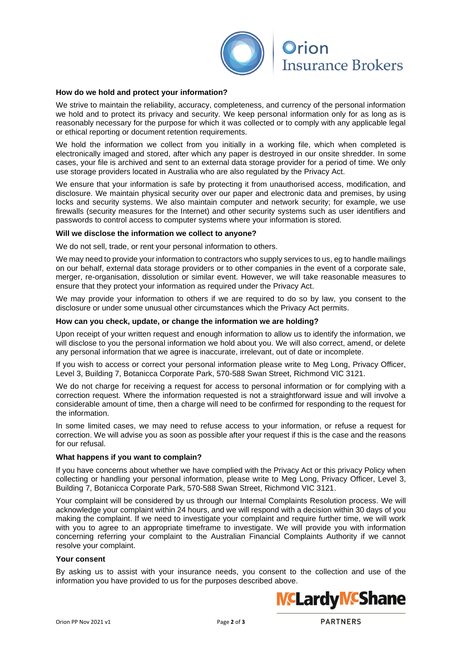

# **Orion Insurance Brokers**

#### **How do we hold and protect your information?**

We strive to maintain the reliability, accuracy, completeness, and currency of the personal information we hold and to protect its privacy and security. We keep personal information only for as long as is reasonably necessary for the purpose for which it was collected or to comply with any applicable legal or ethical reporting or document retention requirements.

We hold the information we collect from you initially in a working file, which when completed is electronically imaged and stored, after which any paper is destroyed in our onsite shredder. In some cases, your file is archived and sent to an external data storage provider for a period of time. We only use storage providers located in Australia who are also regulated by the Privacy Act.

We ensure that your information is safe by protecting it from unauthorised access, modification, and disclosure. We maintain physical security over our paper and electronic data and premises, by using locks and security systems. We also maintain computer and network security; for example, we use firewalls (security measures for the Internet) and other security systems such as user identifiers and passwords to control access to computer systems where your information is stored.

#### **Will we disclose the information we collect to anyone?**

We do not sell, trade, or rent your personal information to others.

We may need to provide your information to contractors who supply services to us, eg to handle mailings on our behalf, external data storage providers or to other companies in the event of a corporate sale, merger, re-organisation, dissolution or similar event. However, we will take reasonable measures to ensure that they protect your information as required under the Privacy Act.

We may provide your information to others if we are required to do so by law, you consent to the disclosure or under some unusual other circumstances which the Privacy Act permits.

#### **How can you check, update, or change the information we are holding?**

Upon receipt of your written request and enough information to allow us to identify the information, we will disclose to you the personal information we hold about you. We will also correct, amend, or delete any personal information that we agree is inaccurate, irrelevant, out of date or incomplete.

If you wish to access or correct your personal information please write to Meg Long, Privacy Officer, Level 3, Building 7, Botanicca Corporate Park, 570-588 Swan Street, Richmond VIC 3121.

We do not charge for receiving a request for access to personal information or for complying with a correction request. Where the information requested is not a straightforward issue and will involve a considerable amount of time, then a charge will need to be confirmed for responding to the request for the information.

In some limited cases, we may need to refuse access to your information, or refuse a request for correction. We will advise you as soon as possible after your request if this is the case and the reasons for our refusal.

#### **What happens if you want to complain?**

If you have concerns about whether we have complied with the Privacy Act or this privacy Policy when collecting or handling your personal information, please write to Meg Long, Privacy Officer, Level 3, Building 7, Botanicca Corporate Park, 570-588 Swan Street, Richmond VIC 3121.

Your complaint will be considered by us through our Internal Complaints Resolution process. We will acknowledge your complaint within 24 hours, and we will respond with a decision within 30 days of you making the complaint. If we need to investigate your complaint and require further time, we will work with you to agree to an appropriate timeframe to investigate. We will provide you with information concerning referring your complaint to the Australian Financial Complaints Authority if we cannot resolve your complaint.

#### **Your consent**

By asking us to assist with your insurance needs, you consent to the collection and use of the information you have provided to us for the purposes described above.